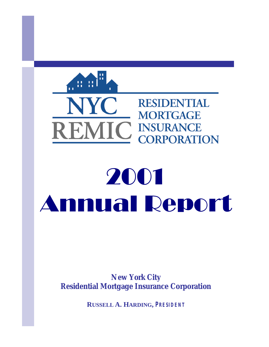

# 2001 Annual Report

*New York City Residential Mortgage Insurance Corporation*

**RUSSELL A. HARDING,** *PRESIDENT*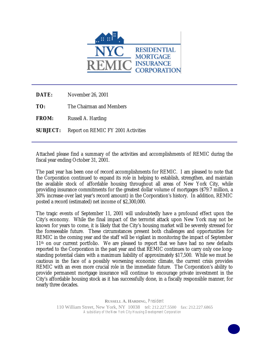

| DATE:           | November 26, 2001                  |
|-----------------|------------------------------------|
| TO:             | The Chairman and Members           |
| <b>FROM:</b>    | Russell A. Harding                 |
| <b>SUBJECT:</b> | Report on REMIC FY 2001 Activities |
|                 |                                    |

Attached please find a summary of the activities and accomplishments of REMIC during the fiscal year ending October 31, 2001.

The past year has been one of record accomplishments for REMIC. I am pleased to note that the Corporation continued to expand its role in helping to establish, strengthen, and maintain the available stock of affordable housing throughout all areas of New York City, while providing insurance commitments for the greatest dollar volume of mortgages (\$79.7 million, a 30% increase over last year's record amount) in the Corporation's history. In addition, REMIC posted a record (estimated) net income of \$2,300,000.

The tragic events of September 11, 2001 will undoubtedly have a profound effect upon the City's economy. While the final impact of the terrorist attack upon New York may not be known for years to come, it is likely that the City's housing market will be severely stressed for the foreseeable future. These circumstances present both challenges and opportunities for REMIC in the coming year and the staff will be vigilant in monitoring the impact of September 11<sup>th</sup> on our current portfolio. We are pleased to report that we have had no new defaults reported to the Corporation in the past year and that REMIC continues to carry only one longstanding potential claim with a maximum liability of approximately \$17,500. While we must be cautious in the face of a possibly worsening economic climate, the current crisis provides REMIC with an even more crucial role in the immediate future. The Corporation's ability to provide permanent mortgage insurance will continue to encourage private investment in the City's affordable housing stock as it has successfully done, in a fiscally responsible manner, for nearly three decades.

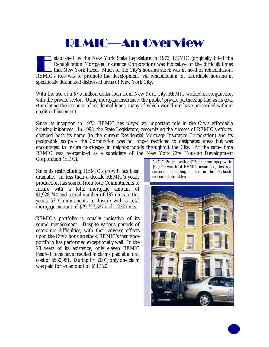#### REMIC—An Overview

stablished by the New York State Legislature in 1973, REMIC (originally titled the Rehabilitation Mortgage Insurance Corporation) was indicative of the difficult times that New York faced. Much of the City's housing stock stablished by the New York State Legislature in 1973, REMIC (originally titled the Rehabilitation Mortgage Insurance Corporation) was indicative of the difficult times that New York faced. Much of the City's housing stock was in need of rehabilitation. specifically designated distressed areas of New York City.

With the use of a \$7.5 million dollar loan from New York City, REMIC worked in conjunction with the private sector. Using mortgage insurance, the public/private partnership had as its goal stimulating the issuance of residential loans, many of which would not have proceeded without credit enhancement.

Since its inception in 1973, REMIC has played an important role in the City's affordable housing initiatives. In 1993, the State Legislature, recognizing the success of REMIC's efforts, changed both its name (to the current Residential Mortgage Insurance Corporation) and its geographic scope – the Corporation was no longer restricted to designated areas but was encouraged to insure mortgages in neighborhoods throughout the City. At the same time REMIC was reorganized as a subsidiary of the New York City Housing Development Corporation (HDC).

Since its restructuring, REMIC's growth has been dramatic. In less than a decade REMIC's yearly production has soared from four Commitments to Insure with a total mortgage amount of \$1,928,744 and a total number of 187 units to this year's 53 Commitments to Insure with a total mortgage amount of \$79,727,587 and 1,232 units.

REMIC's portfolio is equally indicative of its sound management. Despite various periods of economic difficulties, with their adverse effects upon the City's housing stock, REMIC's insurance portfolio has performed exceptionally well. In the 28 years of its existence, only eleven REMIC insured loans have resulted in claims paid at a total cost of \$580,951. During FY 2001, only one claim was paid for an amount of \$11,120.

A CPC Project with a \$250,000 mortgage with \$65,000 worth of REMIC insurance, this is a seven-unit building located in the Flatbush section of Brooklyn.

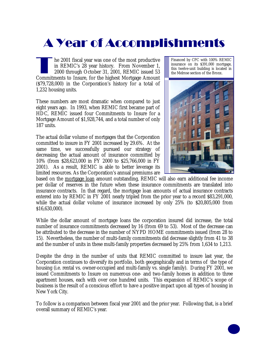### A Year of Accomplishments

The 2001 fiscal year was one of the most productive<br>in REMIC's 28 year history. From November 1,<br>2000 through October 31, 2001, REMIC issued 53<br>Commitments to Insure, for the highest Mortgage Amount he 2001 fiscal year was one of the most productive in REMIC's 28 year history. From November 1, 2000 through October 31, 2001, REMIC issued 53 (\$79,728,000) in the Corporation's history for a total of 1,232 housing units.

These numbers are most dramatic when compared to just eight years ago. In 1993, when REMIC first became part of HDC, REMIC issued four Commitments to Insure for a Mortgage Amount of \$1,928,744, and a total number of only 187 units.

The actual dollar volume of mortgages that the Corporation committed to insure in FY 2001 increased by 29.6%. At the same time, we successfully pursued our strategy of decreasing the actual amount of insurance committed by 10% (from \$28,623,000 in FY 2000 to \$25,766,000 in FY 2001). As a result, REMIC is able to better leverage its limited resources. As the Corporation's annual premiums are Financed by CPC with 100% REMIC insurance on its \$391,000 mortgage, this twelve-unit building is located in the Melrose section of the Bronx.



based on the mortgage loan amount outstanding, REMIC will also earn additional fee income per dollar of reserves in the future when these insurance commitments are translated into insurance contracts. In that regard, the mortgage loan amounts of actual insurance contracts entered into by REMIC in FY 2001 nearly tripled from the prior year to a record \$83,291,000, while the actual dollar volume of insurance increased by only 25% (to \$20,805,000 from \$16,630,000).

While the dollar amount of mortgage loans the corporation insured did increase, the total number of insurance commitments decreased by 16 (from 69 to 53). Most of the decrease can be attributed to the decrease in the number of NYPD HOME commitments issued (from 28 to 15). Nevertheless, the number of multi-family commitments did decrease slightly from 41 to 38 and the number of units in these multi-family properties decreased by 25% from 1,634 to 1,213.

Despite the drop in the number of units that REMIC committed to insure last year, the Corporation continues to diversify its portfolio, both geographically and in terms of the type of housing (i.e. rental vs. owner-occupied and multi-family vs. single family). During FY 2001, we issued Commitments to Insure on numerous one- and two-family homes in addition to three apartment houses, each with over one hundred units. This expansion of REMIC's scope of business is the result of a conscious effort to have a positive impact upon all types of housing in New York City.

To follow is a comparison between fiscal year 2001 and the prior year. Following that, is a brief overall summary of REMIC's year.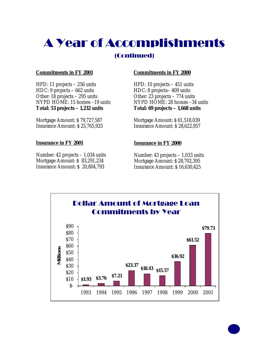# A Year of Accomplishments

#### (Continued)

#### **Commitments in FY 2001**

HPD: 11 projects – 256 units HDC: 9 projects – 662 units Other: 18 projects – 295 units NYPD HOME: 15 homes –19 units **Total: 53 projects – 1,232 units**

Mortgage Amount: \$ 79,727,587 Insurance Amount: \$ 25,765,925

#### **Insurance in FY 2001**

Number: 42 projects – 1,034 units Mortgage Amount: \$ 83,291,234 Insurance Amount: \$ 20,804,793

#### **Commitments in FY 2000**

HPD: 10 projects – 451 units HDC: 8 projects– 409 units Other: 23 projects – 774 units NYPD HOME: 28 homes –34 units **Total: 69 projects – 1,668 units**

Mortgage Amount: \$ 61,518,039 Insurance Amount: \$ 28,622,957

#### **Insurance in FY 2000**

Number: 43 projects – 1,033 units Mortgage Amount: \$ 28,702,395 Insurance Amount: \$ 16,630,425

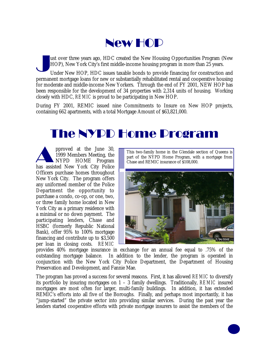

J ust over three years ago, HDC created the New Housing Opportunities Program (New HOP), New York City's first middle-income housing program in more than 25 years.

Under New HOP, HDC issues taxable bonds to provide financing for construction and permanent mortgage loans for new or substantially rehabilitated rental and cooperative housing for moderate and middle-income New Yorkers. Through the end of FY 2001, NEW HOP has been responsible for the development of 34 properties with 2,314 units of housing. Working closely with HDC, *REMIC* is proud to be participating in New HOP.

During FY 2001, REMIC issued nine Commitments to Insure on New HOP projects, containing 662 apartments, with a total Mortgage Amount of \$63,821,000.

#### The NYPD Home Program

pproved at the June 30,<br>1999 Members Meeting, the<br>NYPD HOME Program<br>has assisted New York City Police pproved at the June 30, 1999 Members Meeting, the NYPD HOME Program Officers purchase homes throughout New York City. The program offers any uniformed member of the Police Department the opportunity to purchase a condo, co-op, or one, two, or three family home located in New York City as a primary residence with a minimal or no down payment. The participating lenders, Chase and HSBC (formerly Republic National Bank), offer 95% to 100% mortgage financing and contribute up to \$3,500 per loan in closing costs. *REMIC*

This two-family home in the Glendale section of Queens is part of the NYPD Home Program, with a mortgage from Chase and REMIC insurance of \$108,000.



provides 40% mortgage insurance in exchange for an annual fee equal to .75% of the outstanding mortgage balance. In addition to the lender, the program is operated in conjunction with the New York City Police Department, the Department of Housing Preservation and Development, and Fannie Mae.

The program has proved a success for several reasons. First, it has allowed *REMIC* to diversify its portfolio by insuring mortgages on 1 – 3 family dwellings. Traditionally, *REMIC* insured mortgages are most often for larger, multi-family buildings. In addition, it has extended REMIC's efforts into all five of the Boroughs. Finally, and perhaps most importantly, it has "jump-started" the private sector into providing similar services. During the past year the lenders started cooperative efforts with private mortgage insurers to assist the members of the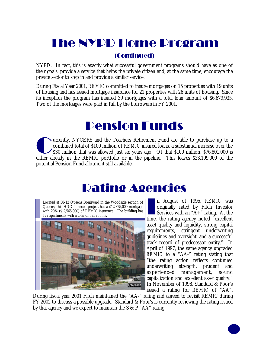#### The NYPD Home Program

#### (Continued)

NYPD. In fact, this is exactly what successful government programs should have as one of their goals: provide a service that helps the private citizen and, at the same time, encourage the private sector to step in and provide a similar service.

During Fiscal Year 2001, *REMIC* committed to insure mortgages on 15 properties with 19 units of housing and has issued mortgage insurance for 21 properties with 26 units of housing. Since its inception the program has insured 39 mortgages with a total loan amount of \$6,679,935. Two of the mortgages were paid in full by the borrowers in FY 2001.

#### Pension Funds

The United S30 million of a Teachers Retirement Fund are able to purchase up to a combined total of \$100 million of *REMIC* insured loans, a substantial increase over the \$30 million that was allowed just six years ago. Of urrently, NYCERS and the Teachers Retirement Fund are able to purchase up to a combined total of \$100 million of *REMIC* insured loans, a substantial increase over the \$30 million that was allowed just six years ago. Of that \$100 million, \$76,801,000 is potential Pension Fund allotment still available.

#### Rating Agencies

Located at 58-12 Queens Boulevard in the Woodside section of Queens, this HDC financed project has a \$12,825,000 mortgage with 20% (\$ 2,565,000) of REMIC insurance. The building has 122 apartments with a total of 373 rooms.



n August of 1995, *REMIC* was<br>originally rated by Fitch Investor<br>Services with an "A+" rating. At the<br>time, the rating agency noted "excellent n August of 1995, *REMIC* was originally rated by Fitch Investor Services with an " $A$ <sup>+</sup>" rating. At the asset quality and liquidity, strong capital requirements, stringent underwriting guidelines and oversight, and a successful track record of predecessor entity." In April of 1997, the same agency upgraded *REMIC* to a "AA-" rating stating that "the rating action reflects continued underwriting strength, prudent and experienced management, sound capitalization and excellent asset quality." In November of 1998, Standard & Poor's issued a rating for *REMIC* of "AA".

During fiscal year 2001 Fitch maintained the "AA-" rating and agreed to revisit REMIC during FY 2002 to discuss a possible upgrade. Standard & Poor's is currently reviewing the rating issued by that agency and we expect to maintain the S & P "AA" rating.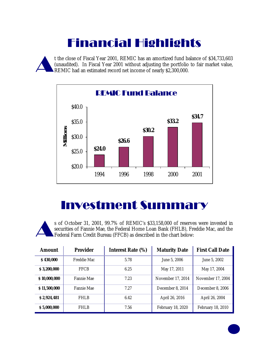## Financial Highlights

A t the close of Fiscal Year 2001, REMIC has an amortized fund balance of \$34,733,603 (unaudited). In Fiscal Year 2001 without adjusting the portfolio to fair market value, REMIC had an estimated record net income of nearly \$2,300,000.



#### Investment Summary

A s of October 31, 2001, 99.7% of REMIC's \$33,158,000 of reserves were invested in securities of Fannie Mae, the Federal Home Loan Bank (FHLB), Freddie Mac, and the Federal Farm Credit Bureau (FFCB) as described in the chart below:

| <b>Amount</b> | <b>Provider</b>   | <b>Interest Rate (%)</b> | <b>Maturity Date</b> | <b>First Call Date</b> |
|---------------|-------------------|--------------------------|----------------------|------------------------|
| \$430,000     | Freddie Mac       | 5.78                     | June 5, 2006         | June 5, 2002           |
| \$3,200,000   | <b>FFCB</b>       | 6.25                     | May 17, 2011         | May 17, 2004           |
| \$10,000,000  | Fannie Mae        | 7.23                     | November 17, 2014    | November 17, 2004      |
| \$11,500,000  | <b>Fannie Mae</b> | 7.27                     | December 8, 2014     | December 8, 2006       |
| \$2,924,481   | FHI B             | 6.42                     | April 26, 2016       | April 26, 2004         |
| \$5,000,000   | <b>FHLB</b>       | 7.56                     | February 18, 2020    | February 18, 2010      |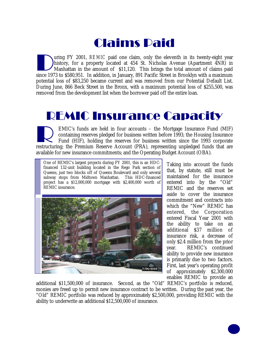### Claims Paid

Unity Press, 2001, REMIC paid one claim, only the eleventh in its twenty-eight year history, for a property located at 454 St. Nicholas Avenue (Apartment 4NR) in Manhattan in the amount of \$11,120. This brings the total am uring FY 2001, *REMIC* paid one claim, only the eleventh in its twenty-eight year history, for a property located at 454 St. Nicholas Avenue (Apartment 4NR) in Manhattan in the amount of \$11,120. This brings the total amount of claims paid potential loss of \$83,250 became current and was removed from our Potential Default List. During June, 866 Beck Street in the Bronx, with a maximum potential loss of \$255,500, was removed from the development list when the borrower paid off the entire loan.

#### REMIC Insurance Capacity

EMIC's funds are held in four accounts – the Mortgage Insurance Fund (MIF) containing reserves pledged for business written before 1993; the Housing Insurance Fund (HIF), holding the reserves for business written since the EMIC's funds are held in four accounts – the Mortgage Insurance Fund (MIF) containing reserves pledged for business written before 1993; the Housing Insurance Fund (HIF), holding the reserves for business written since the 1993 corporate available for new insurance commitments; and the Operating Budget Account (OBA).

One of REMIC's largest projects during FY 2001, this is an HDCfinanced 132-unit building located in the Rego Park section of Queens, just two blocks off of Queens Boulevard and only several subway stops from Midtown Manhattan. This HDC-financed project has a \$12,000,000 mortgage with \$2,400,000 worth of REMIC insurance.



Taking into account the funds that, by statute, still must be maintained for the insurance entered into by the "Old" REMIC and the reserves set aside to cover the insurance commitment and contracts into which the "New" REMIC has entered, the Corporation entered Fiscal Year 2001 with the ability to take on an additional \$37 million of insurance risk, a decrease of only \$2.4 million from the prior year. REMIC's continued ability to provide new insurance is primarily due to two factors. First, last year's operating profit of approximately \$2,300,000 enables REMIC to provide an

additional \$11,500,000 of insurance. Second, as the "Old" REMIC's portfolio is reduced, monies are freed up to permit new insurance contract to be written. During the past year, the "Old" REMIC portfolio was reduced by approximately \$2,500,000, providing REMIC with the ability to underwrite an additional \$12,500,000 of insurance.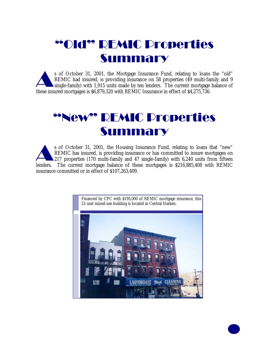### "Old" REMIC Properties Summary

s of October 31, 2001, the Mortgage Insurance Fund, relating to loans<br>REMIC had insured, is providing insurance on 58 properties (49 multi-fa<br>single-family) with 1,915 units made by ten lenders. The current mortgage<br>these s of October 31, 2001, the Mortgage Insurance Fund, relating to loans the "old" REMIC had insured, is providing insurance on 58 properties (49 multi-family and 9 single-family) with 1,915 units made by ten lenders. The current mortgage balance of

#### "New" REMIC Properties Summary

s of October 31, 2001, the Housing Insurance Fund, relating to loans that "new"<br>REMIC has insured, is providing insurance or has committed to insure mortgages on<br>217 properties (170 multi-family and 47 single-family) with s of October 31, 2001, the Housing Insurance Fund, relating to loans that "new" REMIC has insured, is providing insurance or has committed to insure mortgages on 217 properties (170 multi-family and 47 single-family) with 6,240 units from fifteen insurance committed or in effect of \$107,263,409.

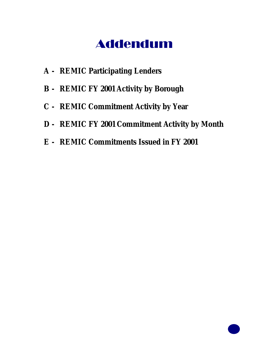#### Addendum

- **A - REMIC Participating Lenders**
- **B - REMIC FY 2001 Activity by Borough**
- **C - REMIC Commitment Activity by Year**
- **D - REMIC FY 2001 Commitment Activity by Month**
- **E - REMIC Commitments Issued in FY 2001**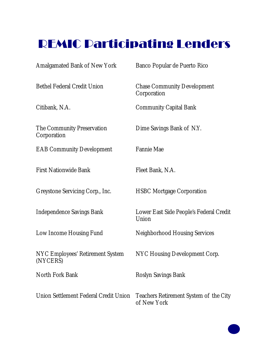### REMIC Participating Lenders

| <b>Amalgamated Bank of New York</b>                 | Banco Popular de Puerto Rico                          |
|-----------------------------------------------------|-------------------------------------------------------|
| <b>Bethel Federal Credit Union</b>                  | <b>Chase Community Development</b><br>Corporation     |
| Citibank, N.A.                                      | <b>Community Capital Bank</b>                         |
| The Community Preservation<br>Corporation           | Dime Savings Bank of N.Y.                             |
| <b>EAB Community Development</b>                    | <b>Fannie Mae</b>                                     |
| <b>First Nationwide Bank</b>                        | Fleet Bank, N.A.                                      |
| Greystone Servicing Corp., Inc.                     | <b>HSBC Mortgage Corporation</b>                      |
| <b>Independence Savings Bank</b>                    | Lower East Side People's Federal Credit<br>Union      |
| Low Income Housing Fund                             | <b>Neighborhood Housing Services</b>                  |
| <b>NYC Employees' Retirement System</b><br>(NYCERS) | NYC Housing Development Corp.                         |
| North Fork Bank                                     | Roslyn Savings Bank                                   |
| Union Settlement Federal Credit Union               | Teachers Retirement System of the City<br>of New York |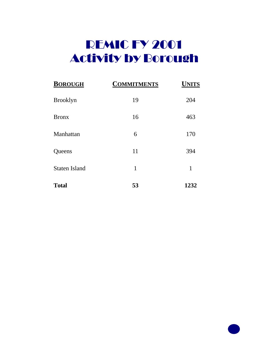### **REMIC FY 2001** Activity by Borough

| <b>BOROUGH</b>       | <b>COMMITMENTS</b> | <b>UNITS</b> |
|----------------------|--------------------|--------------|
| <b>Brooklyn</b>      | 19                 | 204          |
| <b>Bronx</b>         | 16                 | 463          |
| Manhattan            | 6                  | 170          |
| Queens               | 11                 | 394          |
| <b>Staten Island</b> | 1                  | 1            |
| <b>Total</b>         | 53                 | 1232         |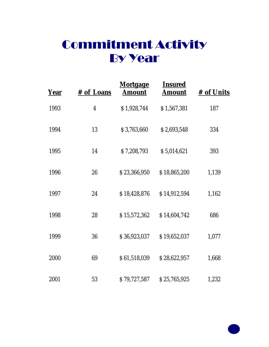### Commitment Activity By Year

| <b>Year</b> | # of Loans              | <u>Mortgage</u><br>Amount | <u>Insured</u><br><b>Amount</b> | # of Units |
|-------------|-------------------------|---------------------------|---------------------------------|------------|
| 1993        | $\overline{\mathbf{4}}$ | \$1,928,744               | \$1,567,381                     | 187        |
| 1994        | 13                      | \$3,763,660               | \$2,693,548                     | 334        |
| 1995        | 14                      | \$7,208,793               | \$5,014,621                     | 393        |
| 1996        | 26                      | \$23,366,950              | \$18,865,200                    | 1,139      |
| 1997        | 24                      | \$18,428,876              | \$14,912,594                    | 1,162      |
| 1998        | 28                      | \$15,572,362              | \$14,604,742                    | 686        |
| 1999        | 36                      | \$36,923,037              | \$19,652,037                    | 1,077      |
| 2000        | 69                      | \$61,518,039              | \$28,622,957                    | 1,668      |
| 2001        | 53                      | \$79,727,587              | \$25,765,925                    | 1,232      |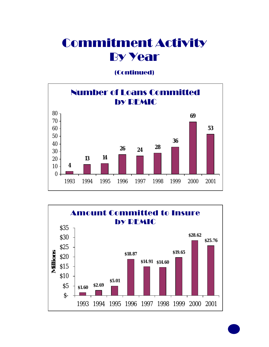#### Commitment Activity By Year

(Continued)



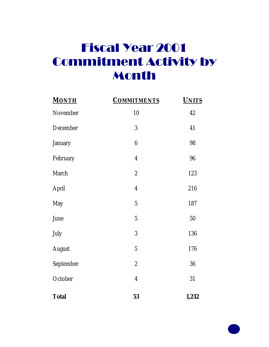### Fiscal Year 2001 Commitment Activity by Month

| <b>MONTH</b>  | <b>COMMITMENTS</b> | <b>UNITS</b> |
|---------------|--------------------|--------------|
| November      | 10                 | 42           |
| December      | $\mathbf{3}$       | 41           |
| January       | $\boldsymbol{6}$   | 98           |
| February      | $\boldsymbol{4}$   | 96           |
| March         | $\boldsymbol{2}$   | 123          |
| April         | $\boldsymbol{4}$   | 216          |
| <b>May</b>    | $\overline{5}$     | 187          |
| June          | $\overline{5}$     | 50           |
| July          | $\mathbf{3}$       | 136          |
| <b>August</b> | $\overline{5}$     | 176          |
| September     | $\boldsymbol{2}$   | 36           |
| October       | $\boldsymbol{4}$   | 31           |
| <b>Total</b>  | 53                 | 1,232        |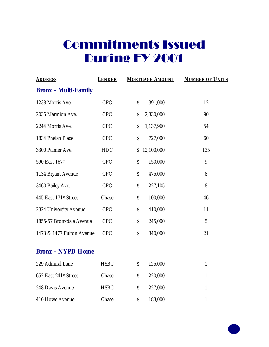| <b>ADDRESS</b>              | <b>LENDER</b> | <b>MORTGAGE AMOUNT</b> | <b>NUMBER OF UNITS</b> |
|-----------------------------|---------------|------------------------|------------------------|
| <b>Bronx</b> – Multi-Family |               |                        |                        |
| 1238 Morris Ave.            | <b>CPC</b>    | \$<br>391,000          | 12                     |
| 2035 Marmion Ave.           | <b>CPC</b>    | 2,330,000<br>\$        | 90                     |
| 2244 Morris Ave.            | <b>CPC</b>    | \$<br>1,137,960        | 54                     |
| 1834 Phelan Place           | <b>CPC</b>    | \$<br>727,000          | 60                     |
| 3300 Palmer Ave.            | <b>HDC</b>    | 12,100,000<br>\$       | 135                    |
| 590 East 167th              | <b>CPC</b>    | \$<br>150,000          | 9                      |
| 1134 Bryant Avenue          | <b>CPC</b>    | \$<br>475,000          | 8                      |
| 3460 Bailey Ave.            | <b>CPC</b>    | \$<br>227,105          | 8                      |
| 445 East 171st Street       | Chase         | \$<br>100,000          | 46                     |
| 2324 University Avenue      | <b>CPC</b>    | \$<br>410,000          | 11                     |
| 1855-57 Bronxdale Avenue    | <b>CPC</b>    | \$<br>245,000          | $\overline{5}$         |
| 1473 & 1477 Fulton Avenue   | <b>CPC</b>    | \$<br>340,000          | 21                     |
| <b>Bronx - NYPD Home</b>    |               |                        |                        |
| 229 Admiral Lane            | <b>HSBC</b>   | \$<br>125,000          | $\mathbf{1}$           |
| 652 East 241st Street       | Chase         | \$<br>220,000          | 1                      |
| 248 Davis Avenue            | <b>HSBC</b>   | \$<br>227,000          | $\mathbf{1}$           |
| 410 Howe Avenue             | Chase         | \$<br>183,000          | $\mathbf{1}$           |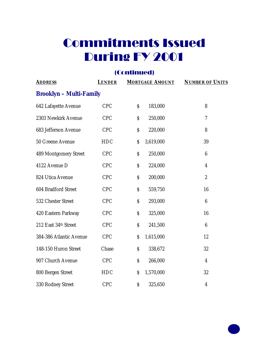#### (Continued)

| <b>ADDRESS</b>                 | <b>LENDER</b> |    | <b>MORTGAGE AMOUNT</b> | <b>NUMBER OF UNITS</b>   |  |  |  |
|--------------------------------|---------------|----|------------------------|--------------------------|--|--|--|
| <b>Brooklyn - Multi-Family</b> |               |    |                        |                          |  |  |  |
| 642 Lafayette Avenue           | <b>CPC</b>    | \$ | 183,000                | 8                        |  |  |  |
| 2303 Newkirk Avenue            | <b>CPC</b>    | \$ | 250,000                | $\overline{\mathcal{U}}$ |  |  |  |
| 683 Jefferson Avenue           | <b>CPC</b>    | \$ | 220,000                | 8                        |  |  |  |
| 50 Greene Avenue               | <b>HDC</b>    | \$ | 3,619,000              | 39                       |  |  |  |
| 489 Montgomery Street          | <b>CPC</b>    | \$ | 250,000                | $6\phantom{.}6$          |  |  |  |
| 4122 Avenue D                  | <b>CPC</b>    | \$ | 224,000                | $\overline{\mathbf{4}}$  |  |  |  |
| 824 Utica Avenue               | <b>CPC</b>    | \$ | 200,000                | $\overline{2}$           |  |  |  |
| <b>604 Bradford Street</b>     | <b>CPC</b>    | \$ | 559,750                | 16                       |  |  |  |
| 532 Chester Street             | <b>CPC</b>    | \$ | 293,000                | $6\phantom{.}6$          |  |  |  |
| 420 Eastern Parkway            | <b>CPC</b>    | \$ | 325,000                | 16                       |  |  |  |
| 212 East 34th Street           | <b>CPC</b>    | \$ | 241,500                | $6\phantom{.}6$          |  |  |  |
| 384-386 Atlantic Avenue        | <b>CPC</b>    | \$ | 1,615,000              | 12                       |  |  |  |
| 148-150 Huron Street           | Chase         | \$ | 338,672                | 32                       |  |  |  |
| 907 Church Avenue              | <b>CPC</b>    | \$ | 266,000                | $\overline{4}$           |  |  |  |
| 800 Bergen Street              | <b>HDC</b>    | \$ | 1,570,000              | 32                       |  |  |  |
| 330 Rodney Street              | <b>CPC</b>    | \$ | 325,650                | $\overline{\mathbf{4}}$  |  |  |  |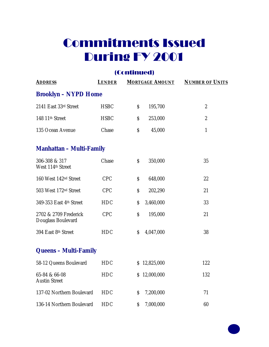#### (Continued)

| <b>ADDRESS</b>                              | <b>LENDER</b> | <b>MORTGAGE AMOUNT</b> | <b>NUMBER OF UNITS</b> |  |  |  |  |
|---------------------------------------------|---------------|------------------------|------------------------|--|--|--|--|
| <b>Brooklyn - NYPD Home</b>                 |               |                        |                        |  |  |  |  |
| 2141 East 33rd Street                       | <b>HSBC</b>   | \$<br>195,700          | $\overline{2}$         |  |  |  |  |
| 148 11 <sup>th</sup> Street                 | <b>HSBC</b>   | \$<br>253,000          | $\overline{2}$         |  |  |  |  |
| 135 Ocean Avenue                            | Chase         | \$<br>45,000           | $\mathbf{1}$           |  |  |  |  |
| <b>Manhattan – Multi-Family</b>             |               |                        |                        |  |  |  |  |
| 306-308 & 317<br>West 114th Street          | Chase         | \$<br>350,000          | 35                     |  |  |  |  |
| 160 West 142 <sup>nd</sup> Street           | <b>CPC</b>    | 648,000<br>\$          | 22                     |  |  |  |  |
| 503 West 172 <sup>nd</sup> Street           | <b>CPC</b>    | \$<br>202,290          | 21                     |  |  |  |  |
| 349-353 East 4th Street                     | <b>HDC</b>    | 3,460,000<br>\$        | 33                     |  |  |  |  |
| 2702 & 2709 Frederick<br>Douglass Boulevard | <b>CPC</b>    | \$<br>195,000          | 21                     |  |  |  |  |
| 394 East 8th Street                         | <b>HDC</b>    | \$<br>4,047,000        | 38                     |  |  |  |  |
| <b>Queens - Multi-Family</b>                |               |                        |                        |  |  |  |  |
| 58-12 Queens Boulevard                      | <b>HDC</b>    | \$12,825,000           | 122                    |  |  |  |  |
| 65-84 & 66-08<br><b>Austin Street</b>       | <b>HDC</b>    | \$12,000,000           | 132                    |  |  |  |  |
| 137-02 Northern Boulevard                   | <b>HDC</b>    | 7,200,000<br>\$        | 71                     |  |  |  |  |
| 136-14 Northern Boulevard                   | <b>HDC</b>    | 7,000,000<br>\$        | 60                     |  |  |  |  |